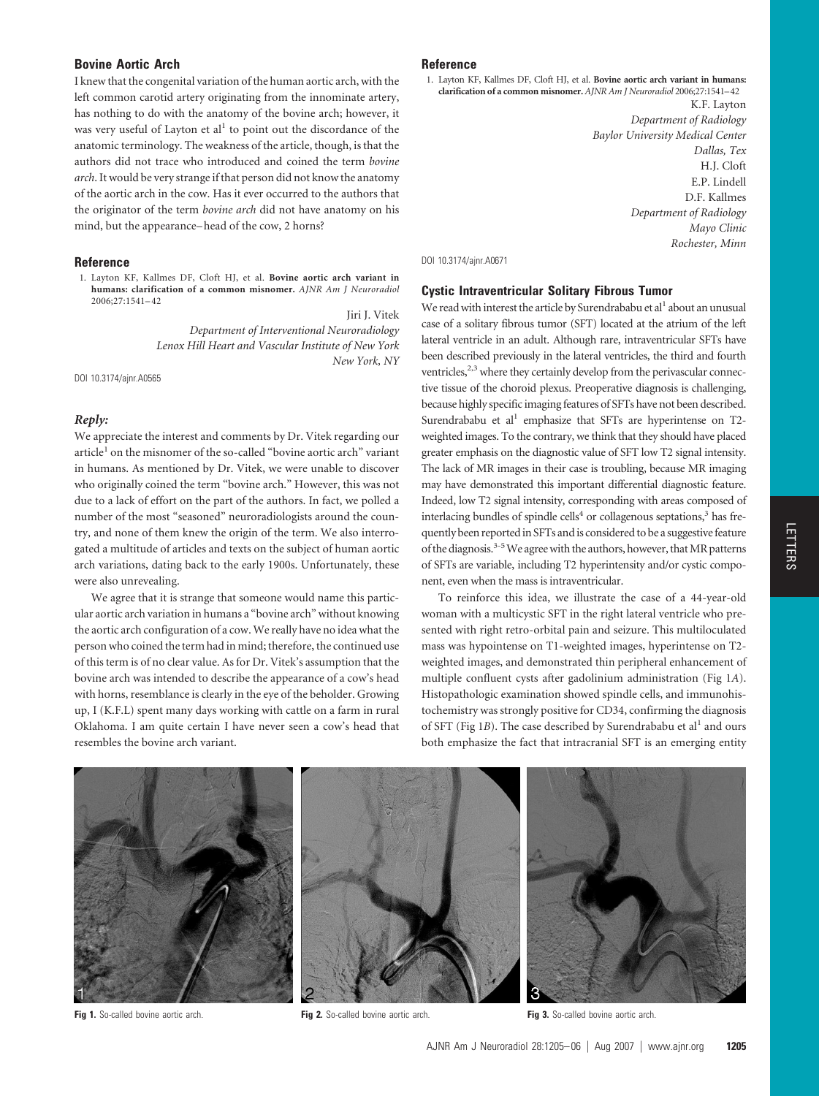# **Bovine Aortic Arch**

I knew that the congenital variation of the human aortic arch, with the left common carotid artery originating from the innominate artery, has nothing to do with the anatomy of the bovine arch; however, it was very useful of Layton et al<sup>1</sup> to point out the discordance of the anatomic terminology. The weakness of the article, though, is that the authors did not trace who introduced and coined the term *bovine arch*. It would be very strange if that person did not know the anatomy of the aortic arch in the cow. Has it ever occurred to the authors that the originator of the term *bovine arch* did not have anatomy on his mind, but the appearance– head of the cow, 2 horns?

#### **Reference**

1. Layton KF, Kallmes DF, Cloft HJ, et al. **Bovine aortic arch variant in humans: clarification of a common misnomer.** *AJNR Am J Neuroradiol* 2006;27:1541–42

Jiri J. Vitek *Department of Interventional Neuroradiology Lenox Hill Heart and Vascular Institute of New York New York, NY*

DOI 10.3174/ajnr.A0565

## *Reply:*

We appreciate the interest and comments by Dr. Vitek regarding our article<sup>1</sup> on the misnomer of the so-called "bovine aortic arch" variant in humans. As mentioned by Dr. Vitek, we were unable to discover who originally coined the term "bovine arch." However, this was not due to a lack of effort on the part of the authors. In fact, we polled a number of the most "seasoned" neuroradiologists around the country, and none of them knew the origin of the term. We also interrogated a multitude of articles and texts on the subject of human aortic arch variations, dating back to the early 1900s. Unfortunately, these were also unrevealing.

We agree that it is strange that someone would name this particular aortic arch variation in humans a "bovine arch" without knowing the aortic arch configuration of a cow. We really have no idea what the person who coined the term had in mind; therefore, the continued use of this term is of no clear value. As for Dr. Vitek's assumption that the bovine arch was intended to describe the appearance of a cow's head with horns, resemblance is clearly in the eye of the beholder. Growing up, I (K.F.L) spent many days working with cattle on a farm in rural Oklahoma. I am quite certain I have never seen a cow's head that resembles the bovine arch variant.

#### **Reference**

1. Layton KF, Kallmes DF, Cloft HJ, et al. **Bovine aortic arch variant in humans: clarification of a common misnomer.** *AJNR Am J Neuroradiol* 2006;27:1541–42

K.F. Layton *Department of Radiology Baylor University Medical Center Dallas, Tex* H.J. Cloft E.P. Lindell D.F. Kallmes *Department of Radiology Mayo Clinic Rochester, Minn*

#### DOI 10.3174/ajnr.A0671

## **Cystic Intraventricular Solitary Fibrous Tumor**

We read with interest the article by Surendrababu et al<sup>1</sup> about an unusual case of a solitary fibrous tumor (SFT) located at the atrium of the left lateral ventricle in an adult. Although rare, intraventricular SFTs have been described previously in the lateral ventricles, the third and fourth ventricles,<sup>2,3</sup> where they certainly develop from the perivascular connective tissue of the choroid plexus. Preoperative diagnosis is challenging, because highly specific imaging features of SFTs have not been described. Surendrababu et al<sup>1</sup> emphasize that SFTs are hyperintense on T2weighted images. To the contrary, we think that they should have placed greater emphasis on the diagnostic value of SFT low T2 signal intensity. The lack of MR images in their case is troubling, because MR imaging may have demonstrated this important differential diagnostic feature. Indeed, low T2 signal intensity, corresponding with areas composed of interlacing bundles of spindle cells<sup>4</sup> or collagenous septations,<sup>3</sup> has frequently been reported in SFTs and is considered to be a suggestive feature of the diagnosis.<sup>3-5</sup> We agree with the authors, however, that MR patterns of SFTs are variable, including T2 hyperintensity and/or cystic component, even when the mass is intraventricular.

To reinforce this idea, we illustrate the case of a 44-year-old woman with a multicystic SFT in the right lateral ventricle who presented with right retro-orbital pain and seizure. This multiloculated mass was hypointense on T1-weighted images, hyperintense on T2 weighted images, and demonstrated thin peripheral enhancement of multiple confluent cysts after gadolinium administration (Fig 1*A*). Histopathologic examination showed spindle cells, and immunohistochemistry was strongly positive for CD34, confirming the diagnosis of SFT (Fig 1*B*). The case described by Surendrababu et al<sup>1</sup> and ours both emphasize the fact that intracranial SFT is an emerging entity